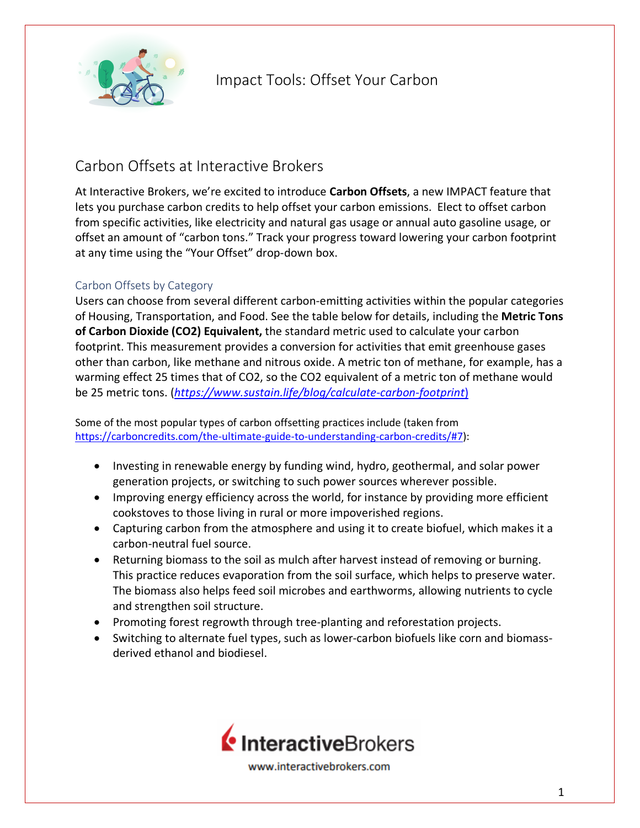

### Carbon Offsets at Interactive Brokers

At Interactive Brokers, we're excited to introduce **Carbon Offsets**, a new IMPACT feature that lets you purchase carbon credits to help offset your carbon emissions. Elect to offset carbon from specific activities, like electricity and natural gas usage or annual auto gasoline usage, or offset an amount of "carbon tons." Track your progress toward lowering your carbon footprint at any time using the "Your Offset" drop-down box.

#### Carbon Offsets by Category

Users can choose from several different carbon-emitting activities within the popular categories of Housing, Transportation, and Food. See the table below for details, including the **Metric Tons of Carbon Dioxide (CO2) Equivalent,** the standard metric used to calculate your carbon footprint. This measurement provides a conversion for activities that emit greenhouse gases other than carbon, like methane and nitrous oxide. A metric ton of methane, for example, has a warming effect 25 times that of CO2, so the CO2 equivalent of a metric ton of methane would be 25 metric tons. (*[https://www.sustain.life/blog/calculate-carbon-footprint](https://www.sustain.life/blog/calculate-carbon-footprint)1)*)

Some of the most popular types of carbon offsetting practices include (taken from [https://carboncredits.com/the-ultimate-guide-to-understanding-carbon-credits/#7\)](https://carboncredits.com/the-ultimate-guide-to-understanding-carbon-credits/#7):

- Investing in renewable energy by funding wind, hydro, geothermal, and solar power generation projects, or switching to such power sources wherever possible.
- Improving energy efficiency across the world, for instance by providing more efficient cookstoves to those living in rural or more impoverished regions.
- Capturing carbon from the atmosphere and using it to create biofuel, which makes it a carbon-neutral fuel source.
- Returning biomass to the soil as mulch after harvest instead of removing or burning. This practice reduces evaporation from the soil surface, which helps to preserve water. The biomass also helps feed soil microbes and earthworms, allowing nutrients to cycle and strengthen soil structure.
- Promoting forest regrowth through tree-planting and reforestation projects.
- Switching to alternate fuel types, such as lower-carbon biofuels like corn and biomassderived ethanol and biodiesel.

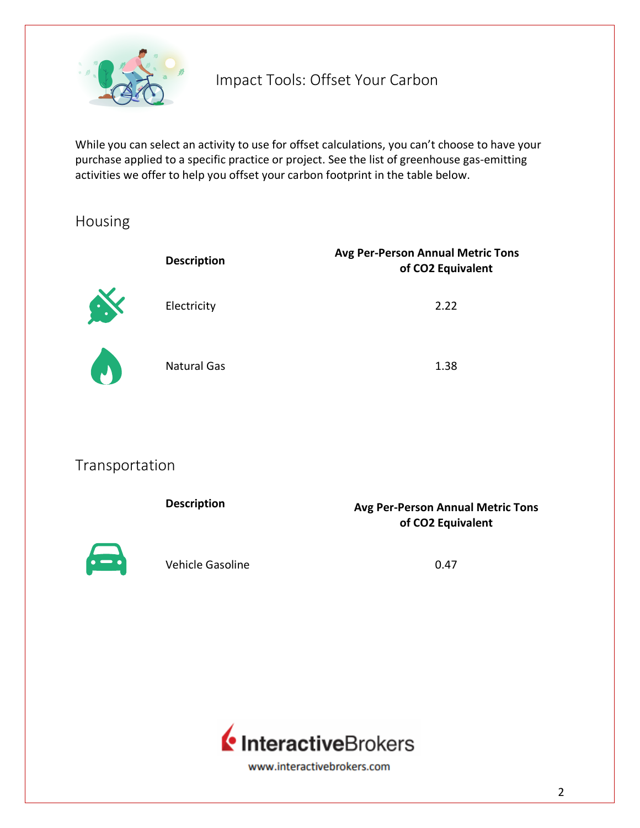

While you can select an activity to use for offset calculations, you can't choose to have your purchase applied to a specific practice or project. See the list of greenhouse gas-emitting activities we offer to help you offset your carbon footprint in the table below.

### Housing

|              | <b>Description</b> | <b>Avg Per-Person Annual Metric Tons</b><br>of CO2 Equivalent |
|--------------|--------------------|---------------------------------------------------------------|
| $\mathbf{a}$ | Electricity        | 2.22                                                          |
| $\bullet$    | <b>Natural Gas</b> | 1.38                                                          |

### Transportation

|              | <b>Description</b> | <b>Avg Per-Person Annual Metric Tons</b><br>of CO2 Equivalent |
|--------------|--------------------|---------------------------------------------------------------|
| $\leftarrow$ | Vehicle Gasoline   | 0.47                                                          |

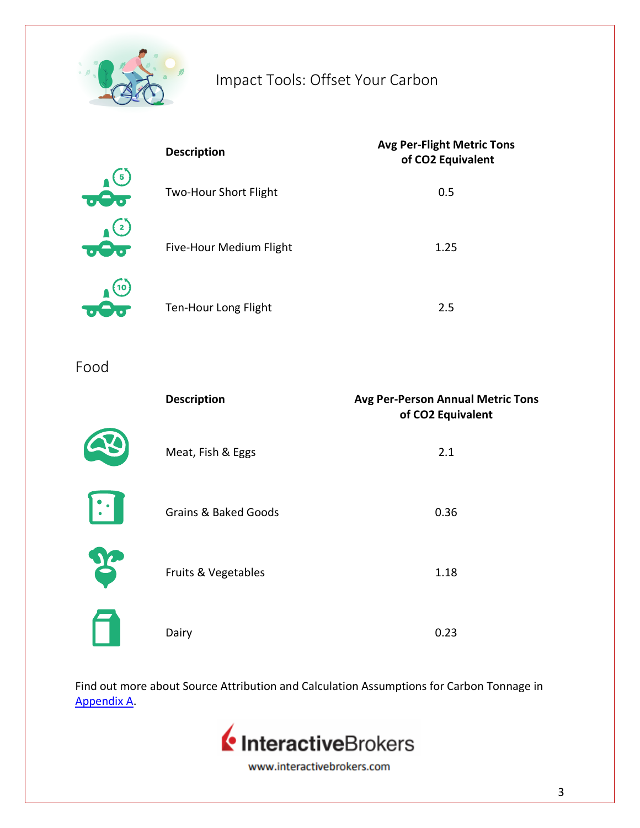

|                                            | <b>Description</b>           | <b>Avg Per-Flight Metric Tons</b><br>of CO2 Equivalent |  |
|--------------------------------------------|------------------------------|--------------------------------------------------------|--|
| 5.<br>$\sigma$                             | <b>Two-Hour Short Flight</b> | 0.5                                                    |  |
| $\mathbf{2}$<br>$\sigma$ $\Theta$ $\sigma$ | Five-Hour Medium Flight      | 1.25                                                   |  |
| 10                                         | Ten-Hour Long Flight         | 2.5                                                    |  |

Food

|   | <b>Description</b>              | <b>Avg Per-Person Annual Metric Tons</b><br>of CO2 Equivalent |
|---|---------------------------------|---------------------------------------------------------------|
|   | Meat, Fish & Eggs               | 2.1                                                           |
|   | <b>Grains &amp; Baked Goods</b> | 0.36                                                          |
| F | Fruits & Vegetables             | 1.18                                                          |
|   | Dairy                           | 0.23                                                          |

Find out more about Source Attribution and Calculation Assumptions for Carbon Tonnage in [Appendix A.](#page-7-0)

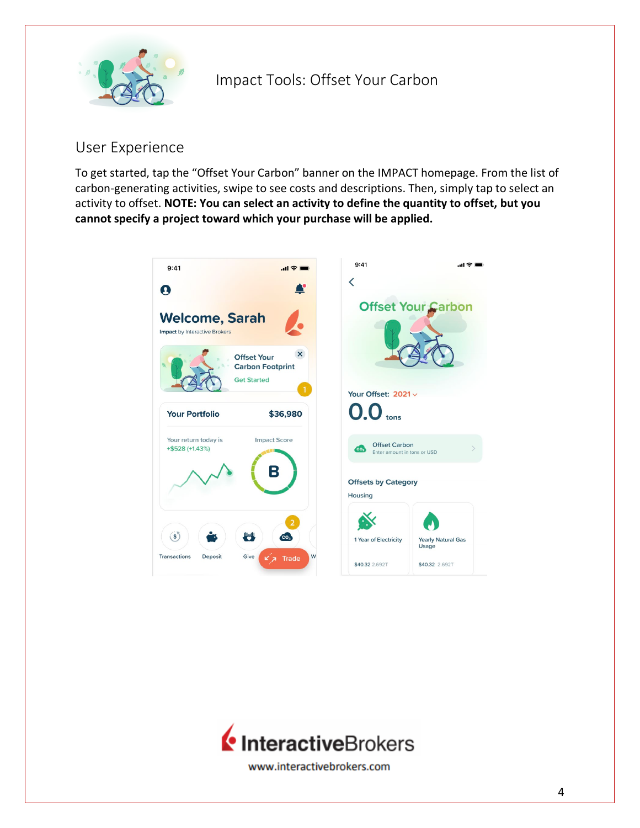

### User Experience

To get started, tap the "Offset Your Carbon" banner on the IMPACT homepage. From the list of carbon-generating activities, swipe to see costs and descriptions. Then, simply tap to select an activity to offset. **NOTE: You can select an activity to define the quantity to offset, but you cannot specify a project toward which your purchase will be applied.** 



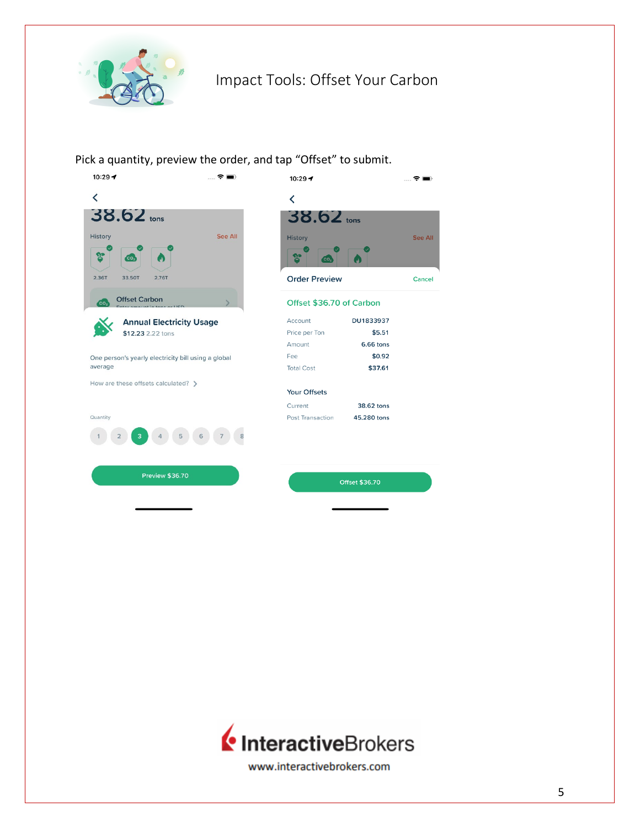

Pick a quantity, preview the order, and tap "Offset" to submit



| ap Unset to submit.      |             |                |  |  |
|--------------------------|-------------|----------------|--|--|
| $10:29 - 7$              |             | ▁▁ 令▐█⊪        |  |  |
| ∢                        |             |                |  |  |
| $38.62$ tons             |             |                |  |  |
| <b>History</b>           |             | <b>See All</b> |  |  |
| $\mathsf{Co_2}$          | W           |                |  |  |
| <b>Order Preview</b>     |             | Cancel         |  |  |
| Offset \$36.70 of Carbon |             |                |  |  |
| Account                  | DU1833937   |                |  |  |
| Price per Ton            | \$5.51      |                |  |  |
| Amount                   | 6.66 tons   |                |  |  |
| Fee                      | \$0.92      |                |  |  |
| <b>Total Cost</b>        | \$37.61     |                |  |  |
| <b>Your Offsets</b>      |             |                |  |  |
| Current                  | 38.62 tons  |                |  |  |
| Post Transaction         | 45,280 tons |                |  |  |
|                          |             |                |  |  |
|                          |             |                |  |  |
|                          |             |                |  |  |

Offset \$36.70

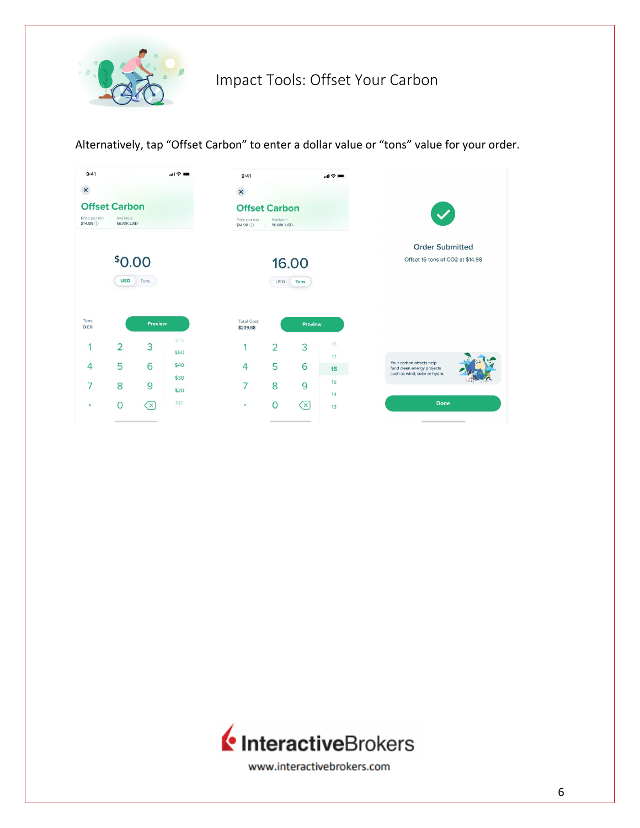

Alternatively, tap "Offset Carbon" to enter a dollar value or "tons" value for your order.



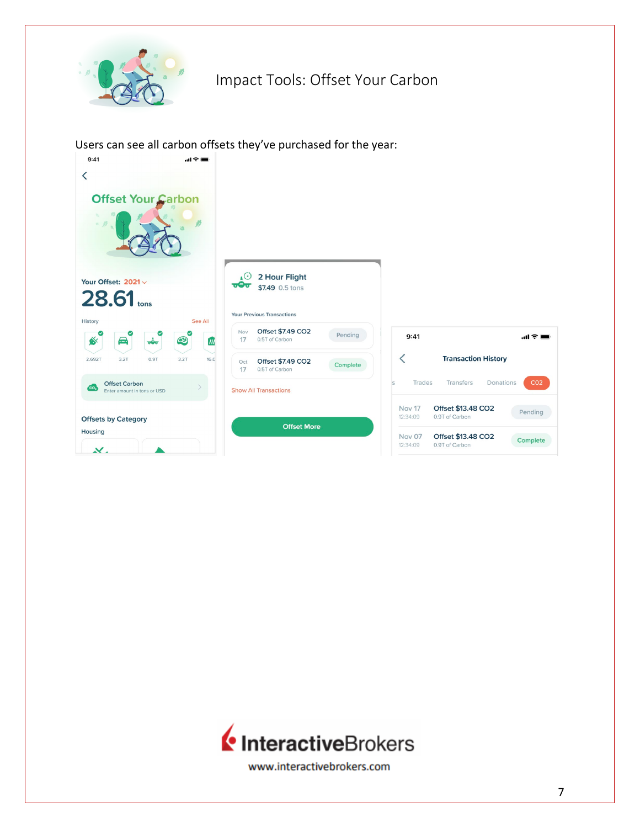

Users can see all carbon offsets they've purchased for the year:



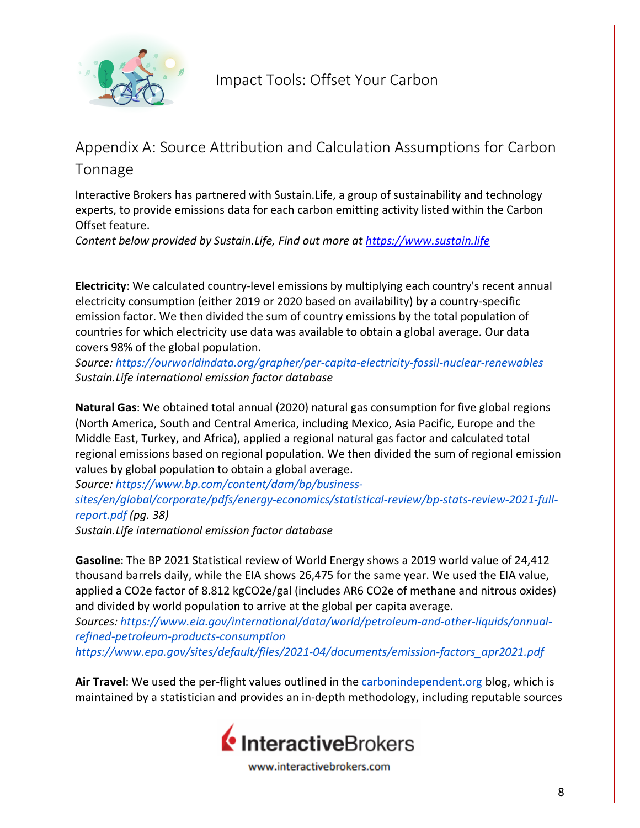

## <span id="page-7-0"></span>Appendix A: Source Attribution and Calculation Assumptions for Carbon Tonnage

Interactive Brokers has partnered with Sustain.Life, a group of sustainability and technology experts, to provide emissions data for each carbon emitting activity listed within the Carbon Offset feature.

*Content below provided by Sustain.Life, Find out more a[t https://www.sustain.life](https://www.sustain.life/)*

**Electricity**: We calculated country-level emissions by multiplying each country's recent annual electricity consumption (either 2019 or 2020 based on availability) by a country-specific emission factor. We then divided the sum of country emissions by the total population of countries for which electricity use data was available to obtain a global average. Our data covers 98% of the global population.

*Source: <https://ourworldindata.org/grapher/per-capita-electricity-fossil-nuclear-renewables> Sustain.Life international emission factor database*

**Natural Gas**: We obtained total annual (2020) natural gas consumption for five global regions (North America, South and Central America, including Mexico, Asia Pacific, Europe and the Middle East, Turkey, and Africa), applied a regional natural gas factor and calculated total regional emissions based on regional population. We then divided the sum of regional emission values by global population to obtain a global average.

*Source: [https://www.bp.com/content/dam/bp/business-](https://www.bp.com/content/dam/bp/business-sites/en/global/corporate/pdfs/energy-economics/statistical-review/bp-stats-review-2021-full-report.pdf)*

*[sites/en/global/corporate/pdfs/energy-economics/statistical-review/bp-stats-review-2021-full](https://www.bp.com/content/dam/bp/business-sites/en/global/corporate/pdfs/energy-economics/statistical-review/bp-stats-review-2021-full-report.pdf)[report.pdf](https://www.bp.com/content/dam/bp/business-sites/en/global/corporate/pdfs/energy-economics/statistical-review/bp-stats-review-2021-full-report.pdf) (pg. 38)*

*Sustain.Life international emission factor database*

**Gasoline**: The BP 2021 Statistical review of World Energy shows a 2019 world value of 24,412 thousand barrels daily, while the EIA shows 26,475 for the same year. We used the EIA value, applied a CO2e factor of 8.812 kgCO2e/gal (includes AR6 CO2e of methane and nitrous oxides) and divided by world population to arrive at the global per capita average.

*Sources: [https://www.eia.gov/international/data/world/petroleum-and-other-liquids/annual](https://www.eia.gov/international/data/world/petroleum-and-other-liquids/annual-refined-petroleum-products-consumption)[refined-petroleum-products-consumption](https://www.eia.gov/international/data/world/petroleum-and-other-liquids/annual-refined-petroleum-products-consumption)*

*[https://www.epa.gov/sites/default/files/2021-04/documents/emission-factors\\_apr2021.pdf](https://www.epa.gov/sites/default/files/2021-04/documents/emission-factors_apr2021.pdf)*

**Air Travel**: We used the per-flight values outlined in the [carbonindependent.org](http://carbonindependent.org/) blog, which is maintained by a statistician and provides an in-depth methodology, including reputable sources